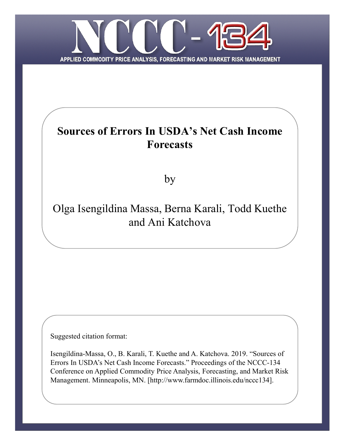

# **Sources of Errors In USDA's Net Cash Income Forecasts**

by

# Olga Isengildina Massa, Berna Karali, Todd Kuethe and Ani Katchova

Suggested citation format:

Isengildina-Massa, O., B. Karali, T. Kuethe and A. Katchova. 2019. "Sources of Errors In USDA's Net Cash Income Forecasts." Proceedings of the NCCC-134 Conference on Applied Commodity Price Analysis, Forecasting, and Market Risk Management. Minneapolis, MN. [http://www.farmdoc.illinois.edu/nccc134].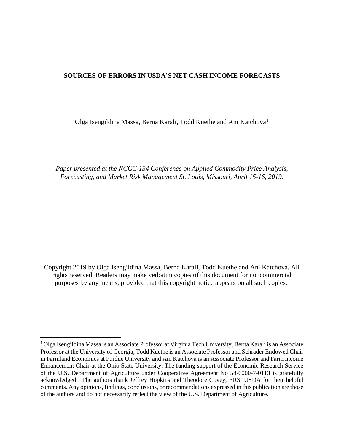### **SOURCES OF ERRORS IN USDA'S NET CASH INCOME FORECASTS**

Olga Isengildina Massa, Berna Karali, Todd Kuethe and Ani Katchova[1](#page-1-0)

*Paper presented at the NCCC-134 Conference on Applied Commodity Price Analysis, Forecasting, and Market Risk Management St. Louis, Missouri, April 15-16, 2019.*

Copyright 2019 by Olga Isengildina Massa, Berna Karali, Todd Kuethe and Ani Katchova. All rights reserved. Readers may make verbatim copies of this document for noncommercial purposes by any means, provided that this copyright notice appears on all such copies.

<span id="page-1-0"></span> <sup>1</sup> Olga Isengildina Massa is an Associate Professor at Virginia Tech University, Berna Karali is an Associate Professor at the University of Georgia, Todd Kuethe is an Associate Professor and Schrader Endowed Chair in Farmland Economics at Purdue University and Ani Katchova is an Associate Professor and Farm Income Enhancement Chair at the Ohio State University. The funding support of the Economic Research Service of the U.S. Department of Agriculture under Cooperative Agreement No 58-6000-7-0113 is gratefully acknowledged. The authors thank Jeffrey Hopkins and Theodore Covey, ERS, USDA for their helpful comments. Any opinions, findings, conclusions, or recommendations expressed in this publication are those of the authors and do not necessarily reflect the view of the U.S. Department of Agriculture.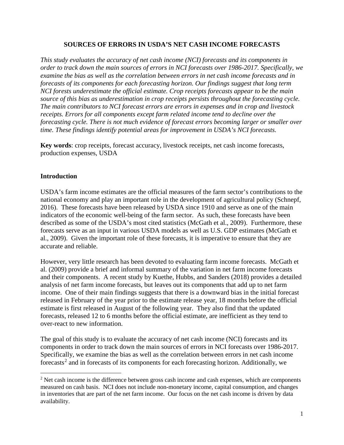## **SOURCES OF ERRORS IN USDA'S NET CASH INCOME FORECASTS**

*This study evaluates the accuracy of net cash income (NCI) forecasts and its components in order to track down the main sources of errors in NCI forecasts over 1986-2017. Specifically, we examine the bias as well as the correlation between errors in net cash income forecasts and in forecasts of its components for each forecasting horizon. Our findings suggest that long term NCI forests underestimate the official estimate. Crop receipts forecasts appear to be the main source of this bias as underestimation in crop receipts persists throughout the forecasting cycle. The main contributors to NCI forecast errors are errors in expenses and in crop and livestock receipts. Errors for all components except farm related income tend to decline over the forecasting cycle. There is not much evidence of forecast errors becoming larger or smaller over time. These findings identify potential areas for improvement in USDA's NCI forecasts.* 

**Key words**: crop receipts, forecast accuracy, livestock receipts, net cash income forecasts, production expenses, USDA

## **Introduction**

 $\overline{a}$ 

USDA's farm income estimates are the official measures of the farm sector's contributions to the national economy and play an important role in the development of agricultural policy (Schnepf, 2016). These forecasts have been released by USDA since 1910 and serve as one of the main indicators of the economic well-being of the farm sector. As such, these forecasts have been described as some of the USDA's most cited statistics (McGath et al., 2009). Furthermore, these forecasts serve as an input in various USDA models as well as U.S. GDP estimates (McGath et al., 2009). Given the important role of these forecasts, it is imperative to ensure that they are accurate and reliable.

However, very little research has been devoted to evaluating farm income forecasts. McGath et al. (2009) provide a brief and informal summary of the variation in net farm income forecasts and their components. A recent study by Kuethe, Hubbs, and Sanders (2018) provides a detailed analysis of net farm income forecasts, but leaves out its components that add up to net farm income. One of their main findings suggests that there is a downward bias in the initial forecast released in February of the year prior to the estimate release year, 18 months before the official estimate is first released in August of the following year. They also find that the updated forecasts, released 12 to 6 months before the official estimate, are inefficient as they tend to over-react to new information.

The goal of this study is to evaluate the accuracy of net cash income (NCI) forecasts and its components in order to track down the main sources of errors in NCI forecasts over 1986-2017. Specifically, we examine the bias as well as the correlation between errors in net cash income forecasts<sup>[2](#page-2-0)</sup> and in forecasts of its components for each forecasting horizon. Additionally, we

<span id="page-2-0"></span><sup>&</sup>lt;sup>2</sup> Net cash income is the difference between gross cash income and cash expenses, which are components measured on cash basis. NCI does not include non-monetary income, capital consumption, and changes in inventories that are part of the net farm income. Our focus on the net cash income is driven by data availability.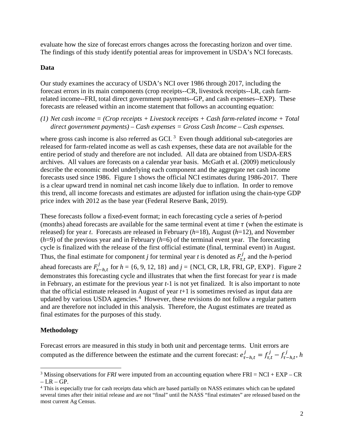evaluate how the size of forecast errors changes across the forecasting horizon and over time. The findings of this study identify potential areas for improvement in USDA's NCI forecasts.

### **Data**

Our study examines the accuracy of USDA's NCI over 1986 through 2017, including the forecast errors in its main components (crop receipts--CR, livestock receipts--LR, cash farmrelated income--FRI, total direct government payments--GP, and cash expenses--EXP). These forecasts are released within an income statement that follows an accounting equation:

*(1) Net cash income = (Crop receipts + Livestock receipts + Cash farm-related income + Total direct government payments) – Cash expenses = Gross Cash Income – Cash expenses.* 

where gross cash income is also referred as GCI.<sup>[3](#page-3-0)</sup> Even though additional sub-categories are released for farm-related income as well as cash expenses, these data are not available for the entire period of study and therefore are not included. All data are obtained from USDA-ERS archives. All values are forecasts on a calendar year basis. McGath et al. (2009) meticulously describe the economic model underlying each component and the aggregate net cash income forecasts used since 1986. Figure 1 shows the official NCI estimates during 1986-2017. There is a clear upward trend in nominal net cash income likely due to inflation. In order to remove this trend, all income forecasts and estimates are adjusted for inflation using the chain-type GDP price index with 2012 as the base year (Federal Reserve Bank, 2019).

These forecasts follow a fixed-event format; in each forecasting cycle a series of *h*-period (months) ahead forecasts are available for the same terminal event at time  $\tau$  (when the estimate is released) for year *t*. Forecasts are released in February (*h*=18), August (*h*=12), and November  $(h=9)$  of the previous year and in February  $(h=6)$  of the terminal event year. The forecasting cycle is finalized with the release of the first official estimate (final, terminal event) in August. Thus, the final estimate for component *j* for terminal year *t* is denoted as  $F_{\tau,t}^{j}$  and the *h*-period

ahead forecasts are  $F_{\tau-h,t}^J$  for  $h = \{6, 9, 12, 18\}$  and  $j = \{NCI, CR, LR, FRI, GP, EXP\}$ . Figure 2 demonstrates this forecasting cycle and illustrates that when the first forecast for year *t* is made in February, an estimate for the previous year *t*-1 is not yet finalized. It is also important to note that the official estimate released in August of year *t*+1 is sometimes revised as input data are updated by various USDA agencies.<sup>[4](#page-3-1)</sup> However, these revisions do not follow a regular pattern and are therefore not included in this analysis. Therefore, the August estimates are treated as final estimates for the purposes of this study.

## **Methodology**

 $\overline{\phantom{a}}$ 

Forecast errors are measured in this study in both unit and percentage terms. Unit errors are computed as the difference between the estimate and the current forecast:  $e_{\tau-h,t}^j = f_{\tau,t}^j - f_{\tau-h,t}^j$ , h

<span id="page-3-0"></span><sup>&</sup>lt;sup>3</sup> Missing observations for *FRI* were imputed from an accounting equation where FRI = NCI + EXP – CR  $-LR - GP.$ 

<span id="page-3-1"></span><sup>4</sup> This is especially true for cash receipts data which are based partially on NASS estimates which can be updated several times after their initial release and are not "final" until the NASS "final estimates" are released based on the most current Ag Census.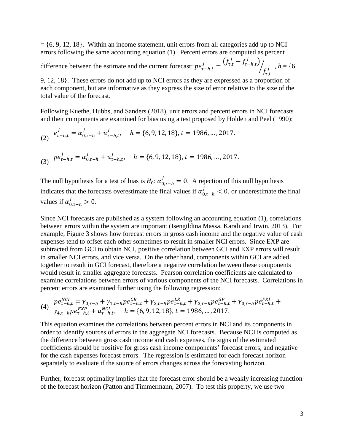$= \{6, 9, 12, 18\}$ . Within an income statement, unit errors from all categories add up to NCI errors following the same accounting equation (1). Percent errors are computed as percent

difference between the estimate and the current forecast:  $pe_{\tau-h,t}^j = \frac{(f_{\tau,t}^j - f_{\tau-h,t}^j)}{h}$  $f'_{\tau,t}$  $\frac{1}{f} \int_{f}$  ,  $h = \{6, 6, 6\}$ 

9, 12, 18}. These errors do not add up to NCI errors as they are expressed as a proportion of each component, but are informative as they express the size of error relative to the size of the total value of the forecast.

Following Kuethe, Hubbs, and Sanders (2018), unit errors and percent errors in NCI forecasts and their components are examined for bias using a test proposed by Holden and Peel (1990):

(2) 
$$
e_{\tau-h,t}^j = \alpha_{0,\tau-h}^j + u_{\tau-h,t}^j
$$
,  $h = \{6, 9, 12, 18\}$ ,  $t = 1986$ , ..., 2017.

(3) 
$$
pe_{\tau-h,t}^j = \alpha_{0,\tau-h}^j + u_{\tau-h,t}^j
$$
,  $h = \{6, 9, 12, 18\}$ ,  $t = 1986$ , ..., 2017.

The null hypothesis for a test of bias is  $H_0: \alpha_{0,\tau-h}^j = 0$ . A rejection of this null hypothesis indicates that the forecasts overestimate the final values if  $\alpha_{0,\tau-h}^j < 0$ , or underestimate the final values if  $\alpha_{0,\tau-h}^j > 0$ .

Since NCI forecasts are published as a system following an accounting equation (1), correlations between errors within the system are important (Isengildina Massa, Karali and Irwin, 2013). For example, Figure 3 shows how forecast errors in gross cash income and the negative value of cash expenses tend to offset each other sometimes to result in smaller NCI errors. Since EXP are subtracted from GCI to obtain NCI, positive correlation between GCI and EXP errors will result in smaller NCI errors, and vice versa. On the other hand, components within GCI are added together to result in GCI forecast, therefore a negative correlation between these components would result in smaller aggregate forecasts. Pearson correlation coefficients are calculated to examine correlations between errors of various components of the NCI forecasts. Correlations in percent errors are examined further using the following regression:

(4) 
$$
pe_{\tau-h,t}^{NCI} = \gamma_{0,\tau-h} + \gamma_{1,\tau-h}pe_{\tau-h,t}^{CR} + \gamma_{2,\tau-h}pe_{\tau-h,t}^{LR} + \gamma_{3,\tau-h}pe_{\tau-h,t}^{GP} + \gamma_{3,\tau-h}pe_{\tau-h,t}^{FRI} + \gamma_{4,\tau-h}pe_{\tau-h,t}^{FRI} + \gamma_{4,\tau-h}pe_{\tau-h,t}^{KR} + u_{\tau-h,t}^{NCI}, \quad h = \{6, 9, 12, 18\}, t = 1986, ..., 2017.
$$

This equation examines the correlations between percent errors in NCI and its components in order to identify sources of errors in the aggregate NCI forecasts. Because NCI is computed as the difference between gross cash income and cash expenses, the signs of the estimated coefficients should be positive for gross cash income components' forecast errors, and negative for the cash expenses forecast errors. The regression is estimated for each forecast horizon separately to evaluate if the source of errors changes across the forecasting horizon.

Further, forecast optimality implies that the forecast error should be a weakly increasing function of the forecast horizon (Patton and Timmermann, 2007). To test this property, we use two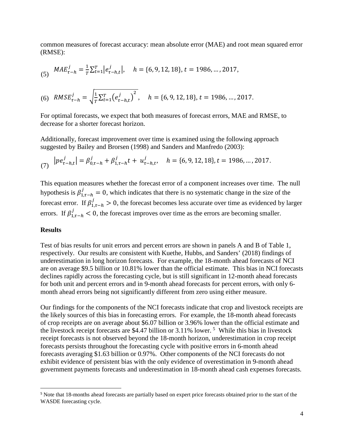common measures of forecast accuracy: mean absolute error (MAE) and root mean squared error (RMSE):

(5) 
$$
MAE_{\tau-h}^j = \frac{1}{T} \sum_{t=1}^T \left| e_{\tau-h,t}^j \right|, \quad h = \{6, 9, 12, 18\}, t = 1986, ..., 2017,
$$

(6) 
$$
RMSE_{\tau-h}^j = \sqrt{\frac{1}{T} \sum_{t=1}^T (e_{\tau-h,t}^j)^2}, \quad h = \{6, 9, 12, 18\}, t = 1986, ..., 2017.
$$

For optimal forecasts, we expect that both measures of forecast errors, MAE and RMSE, to decrease for a shorter forecast horizon.

Additionally, forecast improvement over time is examined using the following approach suggested by Bailey and Brorsen (1998) and Sanders and Manfredo (2003):

(7) 
$$
|pe_{\tau-h,t}^j| = \beta_{0,\tau-h}^j + \beta_{1,\tau-h}^j t + u_{\tau-h,t}^j, \quad h = \{6, 9, 12, 18\}, t = 1986, ..., 2017.
$$

This equation measures whether the forecast error of a component increases over time. The null hypothesis is  $\beta_{1,\tau-h}^j = 0$ , which indicates that there is no systematic change in the size of the forecast error. If  $\beta_{1,\tau-h}^j > 0$ , the forecast becomes less accurate over time as evidenced by larger errors. If  $\beta_{1,\tau-h}^j < 0$ , the forecast improves over time as the errors are becoming smaller.

#### **Results**

Test of bias results for unit errors and percent errors are shown in panels A and B of Table 1, respectively. Our results are consistent with Kuethe, Hubbs, and Sanders' (2018) findings of underestimation in long horizon forecasts. For example, the 18-month ahead forecasts of NCI are on average \$9.5 billion or 10.81% lower than the official estimate. This bias in NCI forecasts declines rapidly across the forecasting cycle, but is still significant in 12-month ahead forecasts for both unit and percent errors and in 9-month ahead forecasts for percent errors, with only 6 month ahead errors being not significantly different from zero using either measure.

Our findings for the components of the NCI forecasts indicate that crop and livestock receipts are the likely sources of this bias in forecasting errors. For example, the 18-month ahead forecasts of crop receipts are on average about \$6.07 billion or 3.96% lower than the official estimate and the livestock receipt forecasts are \$4.47 billion or 3.11% lower.<sup>[5](#page-5-0)</sup> While this bias in livestock receipt forecasts is not observed beyond the 18-month horizon, underestimation in crop receipt forecasts persists throughout the forecasting cycle with positive errors in 6-month ahead forecasts averaging \$1.63 billion or 0.97%. Other components of the NCI forecasts do not exhibit evidence of persistent bias with the only evidence of overestimation in 9-month ahead government payments forecasts and underestimation in 18-month ahead cash expenses forecasts.

<span id="page-5-0"></span> <sup>5</sup> Note that 18-months ahead forecasts are partially based on expert price forecasts obtained prior to the start of the WASDE forecasting cycle.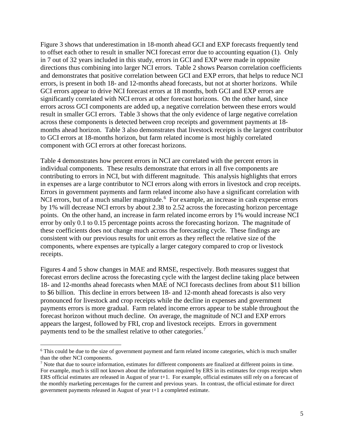Figure 3 shows that underestimation in 18-month ahead GCI and EXP forecasts frequently tend to offset each other to result in smaller NCI forecast error due to accounting equation (1). Only in 7 out of 32 years included in this study, errors in GCI and EXP were made in opposite directions thus combining into larger NCI errors. Table 2 shows Pearson correlation coefficients and demonstrates that positive correlation between GCI and EXP errors, that helps to reduce NCI errors, is present in both 18- and 12-months ahead forecasts, but not at shorter horizons. While GCI errors appear to drive NCI forecast errors at 18 months, both GCI and EXP errors are significantly correlated with NCI errors at other forecast horizons. On the other hand, since errors across GCI components are added up, a negative correlation between these errors would result in smaller GCI errors. Table 3 shows that the only evidence of large negative correlation across these components is detected between crop receipts and government payments at 18 months ahead horizon. Table 3 also demonstrates that livestock receipts is the largest contributor to GCI errors at 18-months horizon, but farm related income is most highly correlated component with GCI errors at other forecast horizons.

Table 4 demonstrates how percent errors in NCI are correlated with the percent errors in individual components. These results demonstrate that errors in all five components are contributing to errors in NCI, but with different magnitude. This analysis highlights that errors in expenses are a large contributor to NCI errors along with errors in livestock and crop receipts. Errors in government payments and farm related income also have a significant correlation with NCI errors, but of a much smaller magnitude.<sup>[6](#page-6-0)</sup> For example, an increase in cash expense errors by 1% will decrease NCI errors by about 2.38 to 2.52 across the forecasting horizon percentage points. On the other hand, an increase in farm related income errors by 1% would increase NCI error by only 0.1 to 0.15 percentage points across the forecasting horizon. The magnitude of these coefficients does not change much across the forecasting cycle. These findings are consistent with our previous results for unit errors as they reflect the relative size of the components, where expenses are typically a larger category compared to crop or livestock receipts.

Figures 4 and 5 show changes in MAE and RMSE, respectively. Both measures suggest that forecast errors decline across the forecasting cycle with the largest decline taking place between 18- and 12-months ahead forecasts when MAE of NCI forecasts declines from about \$11 billion to \$6 billion. This decline in errors between 18- and 12-month ahead forecasts is also very pronounced for livestock and crop receipts while the decline in expenses and government payments errors is more gradual. Farm related income errors appear to be stable throughout the forecast horizon without much decline. On average, the magnitude of NCI and EXP errors appears the largest, followed by FRI, crop and livestock receipts. Errors in government payments tend to be the smallest relative to other categories.<sup>[7](#page-6-1)</sup>

l

<span id="page-6-0"></span><sup>6</sup> This could be due to the size of government payment and farm related income categories, which is much smaller than the other NCI components.

<span id="page-6-1"></span><sup>7</sup> Note that due to source information, estimates for different components are finalized at different points in time. For example, much is still not known about the information required by ERS in its estimates for crops receipts when ERS official estimates are released in August of year t+1. For example, official estimates still rely on a forecast of the monthly marketing percentages for the current and previous years. In contrast, the official estimate for direct government payments released in August of year t+1 a completed estimate.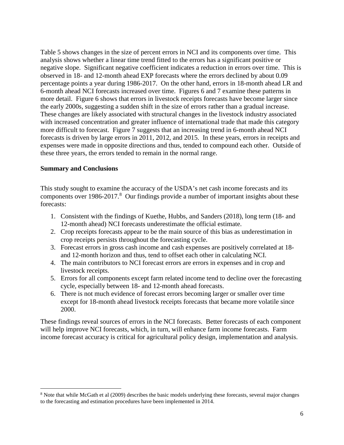Table 5 shows changes in the size of percent errors in NCI and its components over time. This analysis shows whether a linear time trend fitted to the errors has a significant positive or negative slope. Significant negative coefficient indicates a reduction in errors over time. This is observed in 18- and 12-month ahead EXP forecasts where the errors declined by about 0.09 percentage points a year during 1986-2017. On the other hand, errors in 18-month ahead LR and 6-month ahead NCI forecasts increased over time. Figures 6 and 7 examine these patterns in more detail. Figure 6 shows that errors in livestock receipts forecasts have become larger since the early 2000s, suggesting a sudden shift in the size of errors rather than a gradual increase. These changes are likely associated with structural changes in the livestock industry associated with increased concentration and greater influence of international trade that made this category more difficult to forecast. Figure 7 suggests that an increasing trend in 6-month ahead NCI forecasts is driven by large errors in 2011, 2012, and 2015. In these years, errors in receipts and expenses were made in opposite directions and thus, tended to compound each other. Outside of these three years, the errors tended to remain in the normal range.

#### **Summary and Conclusions**

l

This study sought to examine the accuracy of the USDA's net cash income forecasts and its components over 19[8](#page-7-0)6-2017.<sup>8</sup> Our findings provide a number of important insights about these forecasts:

- 1. Consistent with the findings of Kuethe, Hubbs, and Sanders (2018), long term (18- and 12-month ahead) NCI forecasts underestimate the official estimate.
- 2. Crop receipts forecasts appear to be the main source of this bias as underestimation in crop receipts persists throughout the forecasting cycle.
- 3. Forecast errors in gross cash income and cash expenses are positively correlated at 18 and 12-month horizon and thus, tend to offset each other in calculating NCI.
- 4. The main contributors to NCI forecast errors are errors in expenses and in crop and livestock receipts.
- 5. Errors for all components except farm related income tend to decline over the forecasting cycle, especially between 18- and 12-month ahead forecasts.
- 6. There is not much evidence of forecast errors becoming larger or smaller over time except for 18-month ahead livestock receipts forecasts that became more volatile since 2000.

These findings reveal sources of errors in the NCI forecasts. Better forecasts of each component will help improve NCI forecasts, which, in turn, will enhance farm income forecasts. Farm income forecast accuracy is critical for agricultural policy design, implementation and analysis.

<span id="page-7-0"></span><sup>&</sup>lt;sup>8</sup> Note that while McGath et al (2009) describes the basic models underlying these forecasts, several major changes to the forecasting and estimation procedures have been implemented in 2014.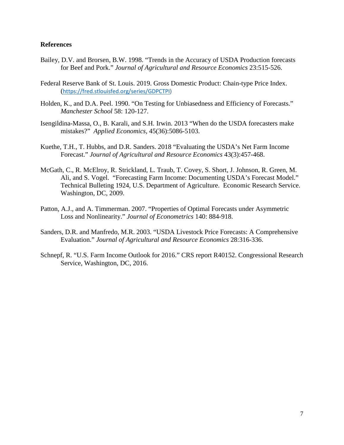#### **References**

- Bailey, D.V. and Brorsen, B.W. 1998. "Trends in the Accuracy of USDA Production forecasts for Beef and Pork." *Journal of Agricultural and Resource Economics* 23:515-526.
- Federal Reserve Bank of St. Louis. 2019. Gross Domestic Product: Chain-type Price Index. ([https://fred.stlouisfed.org/series/GDPCTPI\)](https://fred.stlouisfed.org/series/GDPCTPI)
- Holden, K., and D.A. Peel. 1990. "On Testing for Unbiasedness and Efficiency of Forecasts." *Manchester School* 58: 120-127.
- Isengildina-Massa, O., B. Karali, and S.H. Irwin. 2013 "When do the USDA forecasters make mistakes?" *Applied Economics*, 45(36):5086-5103.
- Kuethe, T.H., T. Hubbs, and D.R. Sanders. 2018 "Evaluating the USDA's Net Farm Income Forecast." *Journal of Agricultural and Resource Economics* 43(3):457-468.
- McGath, C., R. McElroy, R. Strickland, L. Traub, T. Covey, S. Short, J. Johnson, R. Green, M. Ali, and S. Vogel. "Forecasting Farm Income: Documenting USDA's Forecast Model." Technical Bulleting 1924, U.S. Department of Agriculture. Economic Research Service. Washington, DC, 2009.
- Patton, A.J., and A. Timmerman. 2007. "Properties of Optimal Forecasts under Asymmetric Loss and Nonlinearity." *Journal of Econometrics* 140: 884-918.
- Sanders, D.R. and Manfredo, M.R. 2003. "USDA Livestock Price Forecasts: A Comprehensive Evaluation." *Journal of Agricultural and Resource Economics* 28:316-336.
- Schnepf, R. "U.S. Farm Income Outlook for 2016." CRS report R40152. Congressional Research Service, Washington, DC, 2016.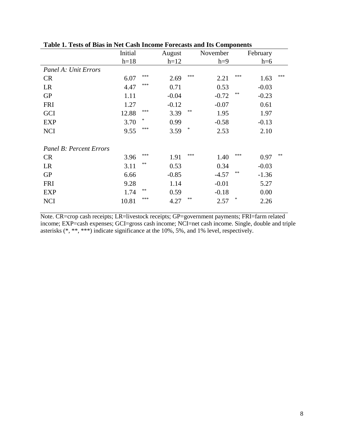|                                | Initial |     | August  |     | November |        | February |     |
|--------------------------------|---------|-----|---------|-----|----------|--------|----------|-----|
|                                | $h=18$  |     | $h=12$  |     | $h=9$    |        | $h=6$    |     |
| Panel A: Unit Errors           |         |     |         |     |          |        |          |     |
| <b>CR</b>                      | 6.07    | *** | 2.69    | *** | 2.21     | ***    | 1.63     | *** |
| LR                             | 4.47    | *** | 0.71    |     | 0.53     |        | $-0.03$  |     |
| <b>GP</b>                      | 1.11    |     | $-0.04$ |     | $-0.72$  | **     | $-0.23$  |     |
| <b>FRI</b>                     | 1.27    |     | $-0.12$ |     | $-0.07$  |        | 0.61     |     |
| <b>GCI</b>                     | 12.88   | *** | 3.39    | **  | 1.95     |        | 1.97     |     |
| <b>EXP</b>                     | 3.70    | *   | 0.99    |     | $-0.58$  |        | $-0.13$  |     |
| <b>NCI</b>                     | 9.55    | *** | 3.59    | ∗   | 2.53     |        | 2.10     |     |
|                                |         |     |         |     |          |        |          |     |
| <b>Panel B: Percent Errors</b> |         |     |         |     |          |        |          |     |
| <b>CR</b>                      | 3.96    | *** | 1.91    | *** | 1.40     | ***    | 0.97     | **  |
| LR                             | 3.11    | **  | 0.53    |     | 0.34     |        | $-0.03$  |     |
| <b>GP</b>                      | 6.66    |     | $-0.85$ |     | $-4.57$  | **     | $-1.36$  |     |
| <b>FRI</b>                     | 9.28    |     | 1.14    |     | $-0.01$  |        | 5.27     |     |
| <b>EXP</b>                     | 1.74    | **  | 0.59    |     | $-0.18$  |        | 0.00     |     |
| <b>NCI</b>                     | 10.81   | *** | 4.27    | **  | 2.57     | $\ast$ | 2.26     |     |
|                                |         |     |         |     |          |        |          |     |

**Table 1. Tests of Bias in Net Cash Income Forecasts and Its Components**

Note. CR=crop cash receipts; LR=livestock receipts; GP=government payments; FRI=farm related income; EXP=cash expenses; GCI=gross cash income; NCI=net cash income. Single, double and triple asterisks (\*, \*\*, \*\*\*) indicate significance at the 10%, 5%, and 1% level, respectively.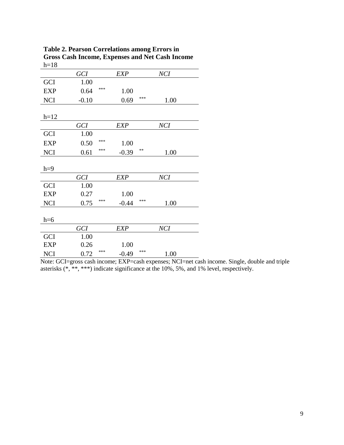**Table 2. Pearson Correlations among Errors in Gross Cash Income, Expenses and Net Cash Income**  $h=18$ 

|            | <b>GCI</b> |     | <b>EXP</b> |     | NCI        |  |
|------------|------------|-----|------------|-----|------------|--|
| <b>GCI</b> | 1.00       |     |            |     |            |  |
| <b>EXP</b> | 0.64       | *** | 1.00       |     |            |  |
| <b>NCI</b> | $-0.10$    |     | 0.69       | *** | 1.00       |  |
|            |            |     |            |     |            |  |
| $h=12$     |            |     |            |     |            |  |
|            | <b>GCI</b> |     | <b>EXP</b> |     | <b>NCI</b> |  |
| <b>GCI</b> | 1.00       |     |            |     |            |  |
| <b>EXP</b> | 0.50       | *** | 1.00       |     |            |  |
| <b>NCI</b> | 0.61       | *** | $-0.39$    | **  | 1.00       |  |
|            |            |     |            |     |            |  |
| $h=9$      |            |     |            |     |            |  |
|            | <b>GCI</b> |     | <b>EXP</b> |     | <b>NCI</b> |  |
| <b>GCI</b> | 1.00       |     |            |     |            |  |
| <b>EXP</b> | 0.27       |     | 1.00       |     |            |  |
| <b>NCI</b> | 0.75       | *** | $-0.44$    | *** | 1.00       |  |
|            |            |     |            |     |            |  |
| $h=6$      |            |     |            |     |            |  |
|            | <b>GCI</b> |     | <b>EXP</b> |     | NCI        |  |
| <b>GCI</b> | 1.00       |     |            |     |            |  |
| <b>EXP</b> | 0.26       |     | 1.00       |     |            |  |
| <b>NCI</b> | 0.72       | *** | $-0.49$    | *** | 1.00       |  |

Note: GCI=gross cash income; EXP=cash expenses; NCI=net cash income. Single, double and triple asterisks (\*, \*\*, \*\*\*) indicate significance at the 10%, 5%, and 1% level, respectively.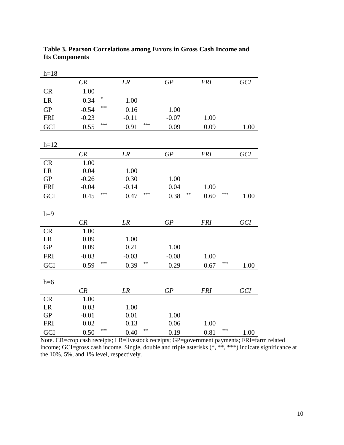| $h=18$     |                |              |            |             |      |
|------------|----------------|--------------|------------|-------------|------|
|            | CR             | LR           | GP         | <b>FRI</b>  | GCI  |
| <b>CR</b>  | 1.00           |              |            |             |      |
| LR         | $\ast$<br>0.34 | 1.00         |            |             |      |
| GP         | ***<br>$-0.54$ | 0.16         | 1.00       |             |      |
| <b>FRI</b> | $-0.23$        | $-0.11$      | $-0.07$    | 1.00        |      |
| GCI        | ***<br>0.55    | ***<br>0.91  | 0.09       | 0.09        | 1.00 |
| $h=12$     |                |              |            |             |      |
|            | CR             | LR           | GP         | <b>FRI</b>  | GCI  |
| <b>CR</b>  | 1.00           |              |            |             |      |
| LR         | 0.04           | 1.00         |            |             |      |
| ${\rm GP}$ | $-0.26$        | 0.30         | 1.00       |             |      |
| <b>FRI</b> | $-0.04$        | $-0.14$      | 0.04       | 1.00        |      |
| GCI        | ***<br>0.45    | ***<br>0.47  | **<br>0.38 | ***<br>0.60 | 1.00 |
| $h=9$      |                |              |            |             |      |
|            | CR             | LR           | GP         | <b>FRI</b>  | GCI  |
| <b>CR</b>  | 1.00           |              |            |             |      |
| LR         | 0.09           | 1.00         |            |             |      |
| ${\rm GP}$ | 0.09           | 0.21         | 1.00       |             |      |
| <b>FRI</b> | $-0.03$        | $-0.03$      | $-0.08$    | 1.00        |      |
| GCI        | ***<br>0.59    | **<br>0.39   | 0.29       | ***<br>0.67 | 1.00 |
| $h=6$      |                |              |            |             |      |
|            | CR             | LR           | GP         | <b>FRI</b>  | GCI  |
| <b>CR</b>  | 1.00           |              |            |             |      |
| LR         | 0.03           | 1.00         |            |             |      |
| ${\rm GP}$ | $-0.01$        | 0.01         | 1.00       |             |      |
| <b>FRI</b> | 0.02           | 0.13         | 0.06       | 1.00        |      |
| GCI        | ***<br>0.50    | $**$<br>0.40 | 0.19       | ***<br>0.81 | 1.00 |

**Table 3. Pearson Correlations among Errors in Gross Cash Income and Its Components**

Note. CR=crop cash receipts; LR=livestock receipts; GP=government payments; FRI=farm related income; GCI=gross cash income. Single, double and triple asterisks (\*, \*\*, \*\*\*) indicate significance at the 10%, 5%, and 1% level, respectively.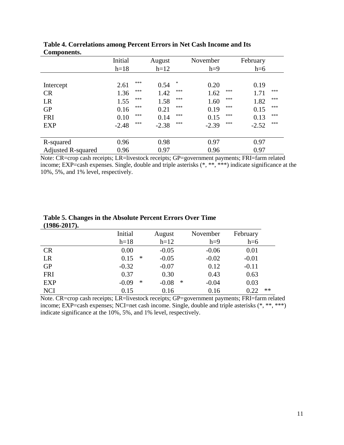|                           | Initial |     | August  |     | November |     | February |     |
|---------------------------|---------|-----|---------|-----|----------|-----|----------|-----|
|                           | $h=18$  |     | $h=12$  |     | $h=9$    |     | $h=6$    |     |
|                           |         |     |         |     |          |     |          |     |
| Intercept                 | 2.61    | *** | 0.54    | *   | 0.20     |     | 0.19     |     |
| <b>CR</b>                 | 1.36    | *** | 1.42    | *** | 1.62     | *** | 1.71     | *** |
| LR                        | 1.55    | *** | 1.58    | *** | 1.60     | *** | 1.82     | *** |
| <b>GP</b>                 | 0.16    | *** | 0.21    | *** | 0.19     | *** | 0.15     | *** |
| <b>FRI</b>                | 0.10    | *** | 0.14    | *** | 0.15     | *** | 0.13     | *** |
| <b>EXP</b>                | $-2.48$ | *** | $-2.38$ | *** | $-2.39$  | *** | $-2.52$  | *** |
|                           |         |     |         |     |          |     |          |     |
| R-squared                 | 0.96    |     | 0.98    |     | 0.97     |     | 0.97     |     |
| <b>Adjusted R-squared</b> | 0.96    |     | 0.97    |     | 0.96     |     | 0.97     |     |

**Table 4. Correlations among Percent Errors in Net Cash Income and Its Components.**

Note: CR=crop cash receipts; LR=livestock receipts; GP=government payments; FRI=farm related income;  $EXP = cash$  expenses. Single, double and triple asterisks  $(*, **, ***)$  indicate significance at the 10%, 5%, and 1% level, respectively.

| (1700-4017). |         |        |         |   |          |          |      |
|--------------|---------|--------|---------|---|----------|----------|------|
|              | Initial |        | August  |   | November | February |      |
|              | $h=18$  |        | $h=12$  |   | $h=9$    | $h=6$    |      |
| <b>CR</b>    | 0.00    |        | $-0.05$ |   | $-0.06$  | 0.01     |      |
| LR           | 0.15    | $\ast$ | $-0.05$ |   | $-0.02$  | $-0.01$  |      |
| <b>GP</b>    | $-0.32$ |        | $-0.07$ |   | 0.12     | $-0.11$  |      |
| <b>FRI</b>   | 0.37    |        | 0.30    |   | 0.43     | 0.63     |      |
| <b>EXP</b>   | $-0.09$ | ∗      | $-0.08$ | ∗ | $-0.04$  | 0.03     |      |
| <b>NCI</b>   | 0.15    |        | 0.16    |   | 0.16     | 0.22     | $**$ |

**Table 5. Changes in the Absolute Percent Errors Over Time (1986-2017).**

Note. CR=crop cash receipts; LR=livestock receipts; GP=government payments; FRI=farm related income; EXP=cash expenses; NCI=net cash income. Single, double and triple asterisks (\*, \*\*, \*\*\*) indicate significance at the 10%, 5%, and 1% level, respectively.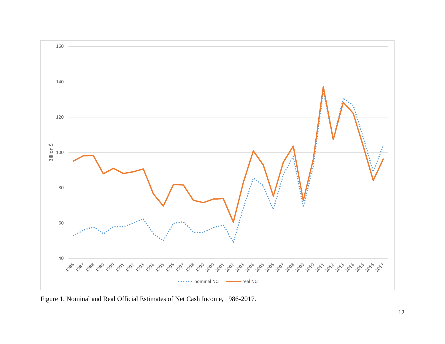

Figure 1. Nominal and Real Official Estimates of Net Cash Income, 1986-2017.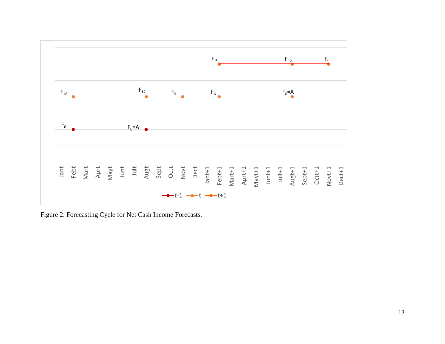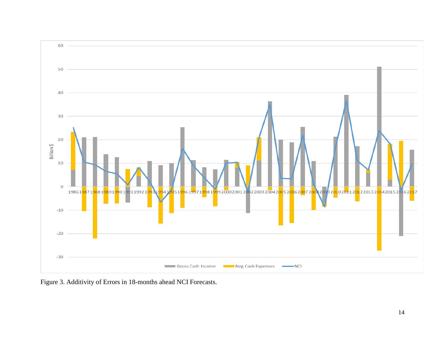

Figure 3. Additivity of Errors in 18-months ahead NCI Forecasts.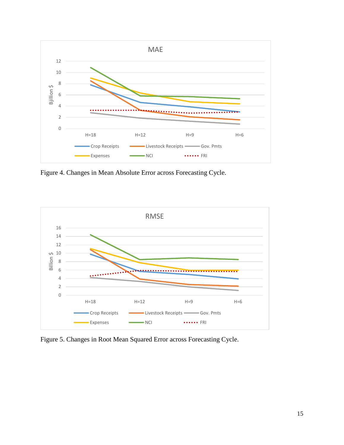

Figure 4. Changes in Mean Absolute Error across Forecasting Cycle.



Figure 5. Changes in Root Mean Squared Error across Forecasting Cycle.